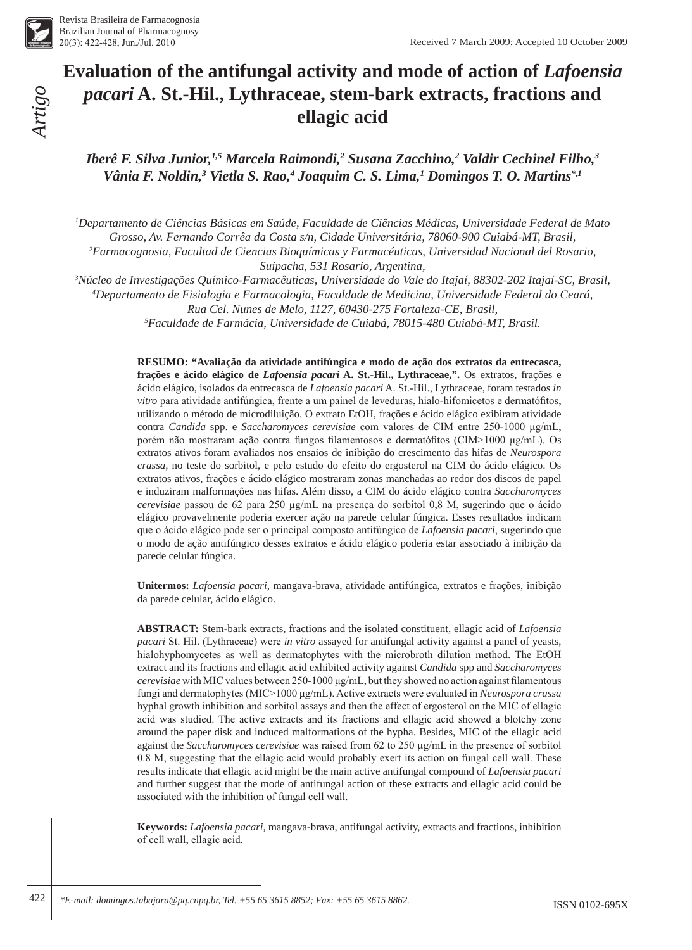# **Evaluation of the antifungal activity and mode of action of** *Lafoensia pacari* **A. St.-Hil., Lythraceae, stem-bark extracts, fractions and ellagic acid**

*Iberê F. Silva Junior,1,5 Marcela Raimondi,2 Susana Zacchino,2 Valdir Cechinel Filho,3* Vânia F. Noldin,<sup>3</sup> Vietla S. Rao,<sup>4</sup> Joaquim C. S. Lima,<sup>1</sup> Domingos T. O. Martins<sup>\*,1</sup>

*1 Departamento de Ciências Básicas em Saúde, Faculdade de Ciências Médicas, Universidade Federal de Mato Grosso, Av. Fernando Corrêa da Costa s/n, Cidade Universitária, 78060-900 Cuiabá-MT, Brasil, 2 Farmacognosia, Facultad de Ciencias Bioquímicas y Farmacéuticas, Universidad Nacional del Rosario, Suipacha, 531 Rosario, Argentina,*

*3 Núcleo de Investigações Químico-Farmacêuticas, Universidade do Vale do Itajaí, 88302-202 Itajaí-SC, Brasil, 4 Departamento de Fisiologia e Farmacologia, Faculdade de Medicina, Universidade Federal do Ceará,* 

*Rua Cel. Nunes de Melo, 1127, 60430-275 Fortaleza-CE, Brasil,*

*5 Faculdade de Farmácia, Universidade de Cuiabá, 78015-480 Cuiabá-MT, Brasil.*

**RESUMO: "Avaliação da atividade antifúngica e modo de ação dos extratos da entrecasca, frações e ácido elágico de** *Lafoensia pacari* **A. St.-Hil., Lythraceae,".** Os extratos, frações e ácido elágico, isolados da entrecasca de *Lafoensia pacari* A. St.-Hil., Lythraceae, foram testados *in vitro* para atividade antifúngica, frente a um painel de leveduras, hialo-hifomicetos e dermatófitos, utilizando o método de microdiluição. O extrato EtOH, frações e ácido elágico exibiram atividade contra *Candida* spp. e *Saccharomyces cerevisiae* com valores de CIM entre 250-1000 μg/mL, porém não mostraram ação contra fungos filamentosos e dermatófitos (CIM>1000 μg/mL). Os extratos ativos foram avaliados nos ensaios de inibição do crescimento das hifas de *Neurospora crassa,* no teste do sorbitol, e pelo estudo do efeito do ergosterol na CIM do ácido elágico. Os extratos ativos, frações e ácido elágico mostraram zonas manchadas ao redor dos discos de papel e induziram malformações nas hifas. Além disso, a CIM do ácido elágico contra *Saccharomyces cerevisiae* passou de 62 para 250 µg/mL na presença do sorbitol 0,8 M, sugerindo que o ácido elágico provavelmente poderia exercer ação na parede celular fúngica. Esses resultados indicam que o ácido elágico pode ser o principal composto antifúngico de *Lafoensia pacari*, sugerindo que o modo de ação antifúngico desses extratos e ácido elágico poderia estar associado à inibição da parede celular fúngica.

**Unitermos:** *Lafoensia pacari,* mangava-brava, atividade antifúngica, extratos e frações, inibição da parede celular, ácido elágico.

**ABSTRACT:** Stem-bark extracts, fractions and the isolated constituent, ellagic acid of *Lafoensia pacari* St. Hil. (Lythraceae) were *in vitro* assayed for antifungal activity against a panel of yeasts, hialohyphomycetes as well as dermatophytes with the microbroth dilution method. The EtOH extract and its fractions and ellagic acid exhibited activity against *Candida* spp and *Saccharomyces cerevisiae* with MIC values between 250-1000 μg/mL, but they showed no action against filamentous fungi and dermatophytes (MIC>1000 μg/mL). Active extracts were evaluated in *Neurospora crassa* hyphal growth inhibition and sorbitol assays and then the effect of ergosterol on the MIC of ellagic acid was studied. The active extracts and its fractions and ellagic acid showed a blotchy zone around the paper disk and induced malformations of the hypha. Besides, MIC of the ellagic acid against the *Saccharomyces cerevisiae* was raised from 62 to 250 µg/mL in the presence of sorbitol 0.8 M, suggesting that the ellagic acid would probably exert its action on fungal cell wall. These results indicate that ellagic acid might be the main active antifungal compound of *Lafoensia pacari* and further suggest that the mode of antifungal action of these extracts and ellagic acid could be associated with the inhibition of fungal cell wall.

**Keywords:** *Lafoensia pacari,* mangava-brava, antifungal activity, extracts and fractions, inhibition of cell wall, ellagic acid.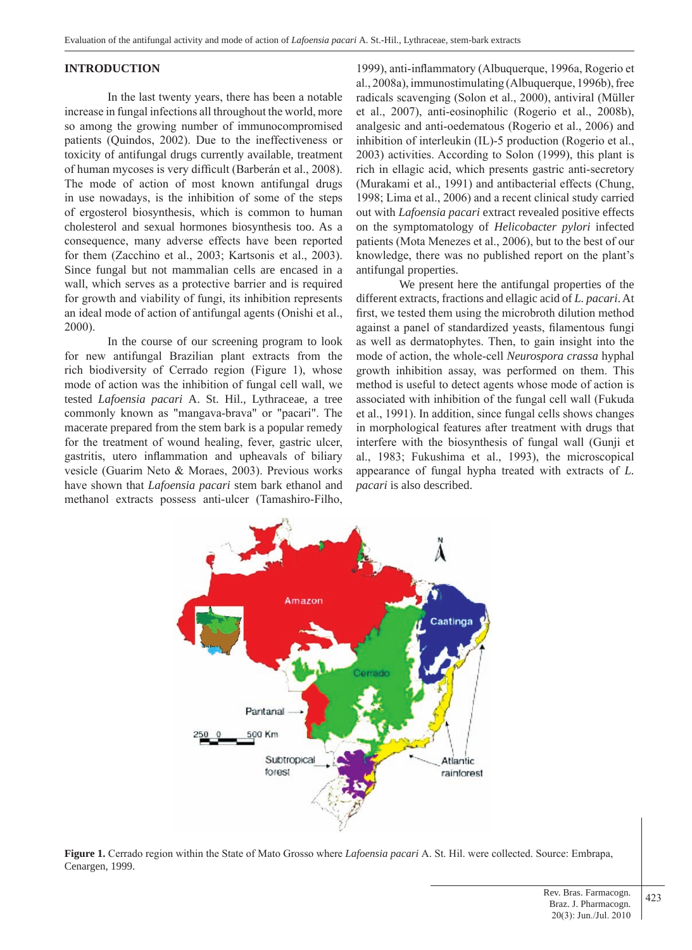## **INTRODUCTION**

In the last twenty years, there has been a notable increase in fungal infections all throughout the world, more so among the growing number of immunocompromised patients (Quindos, 2002). Due to the ineffectiveness or toxicity of antifungal drugs currently available, treatment of human mycoses is very difficult (Barberán et al., 2008). The mode of action of most known antifungal drugs in use nowadays, is the inhibition of some of the steps of ergosterol biosynthesis, which is common to human cholesterol and sexual hormones biosynthesis too. As a consequence, many adverse effects have been reported for them (Zacchino et al., 2003; Kartsonis et al., 2003). Since fungal but not mammalian cells are encased in a wall, which serves as a protective barrier and is required for growth and viability of fungi, its inhibition represents an ideal mode of action of antifungal agents (Onishi et al., 2000).

In the course of our screening program to look for new antifungal Brazilian plant extracts from the rich biodiversity of Cerrado region (Figure 1), whose mode of action was the inhibition of fungal cell wall, we tested *Lafoensia pacari* A. St. Hil., Lythraceae, a tree commonly known as "mangava-brava" or "pacari". The macerate prepared from the stem bark is a popular remedy for the treatment of wound healing, fever, gastric ulcer, gastritis, utero inflammation and upheavals of biliary vesicle (Guarim Neto & Moraes, 2003). Previous works have shown that *Lafoensia pacari* stem bark ethanol and methanol extracts possess anti-ulcer (Tamashiro-Filho,

1999), anti-inflammatory (Albuquerque, 1996a, Rogerio et al., 2008a), immunostimulating (Albuquerque, 1996b), free radicals scavenging (Solon et al., 2000), antiviral (Müller et al., 2007), anti-eosinophilic (Rogerio et al., 2008b), analgesic and anti-oedematous (Rogerio et al., 2006) and inhibition of interleukin (IL)-5 production (Rogerio et al., 2003) activities. According to Solon (1999), this plant is rich in ellagic acid, which presents gastric anti-secretory (Murakami et al., 1991) and antibacterial effects (Chung, 1998; Lima et al., 2006) and a recent clinical study carried out with *Lafoensia pacari* extract revealed positive effects on the symptomatology of *Helicobacter pylori* infected patients (Mota Menezes et al., 2006), but to the best of our knowledge, there was no published report on the plant's antifungal properties.

We present here the antifungal properties of the different extracts, fractions and ellagic acid of *L. pacari*. At first, we tested them using the microbroth dilution method against a panel of standardized yeasts, filamentous fungi as well as dermatophytes. Then, to gain insight into the mode of action, the whole-cell *Neurospora crassa* hyphal growth inhibition assay, was performed on them. This method is useful to detect agents whose mode of action is associated with inhibition of the fungal cell wall (Fukuda et al., 1991). In addition, since fungal cells shows changes in morphological features after treatment with drugs that interfere with the biosynthesis of fungal wall (Gunji et al., 1983; Fukushima et al., 1993), the microscopical appearance of fungal hypha treated with extracts of *L. pacari* is also described.



**Figure 1.** Cerrado region within the State of Mato Grosso where *Lafoensia pacari* A. St. Hil. were collected. Source: Embrapa, Cenargen, 1999.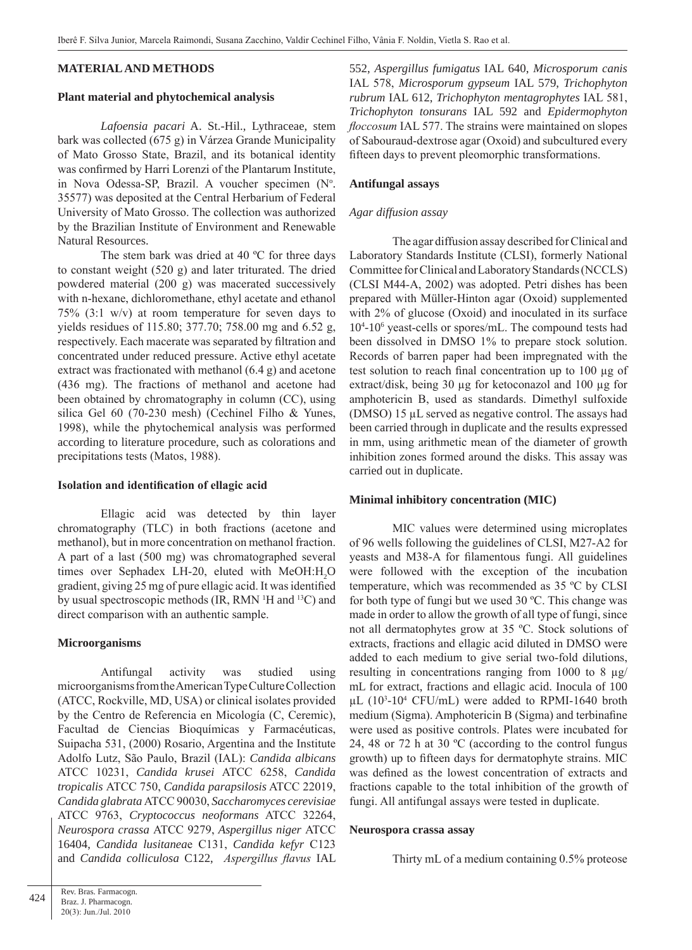## **MATERIAL AND METHODS**

#### **Plant material and phytochemical analysis**

*Lafoensia pacari* A. St.-Hil., Lythraceae, stem bark was collected (675 g) in Várzea Grande Municipality of Mato Grosso State, Brazil, and its botanical identity was confirmed by Harri Lorenzi of the Plantarum Institute, in Nova Odessa-SP, Brazil. A voucher specimen (N°. 35577) was deposited at the Central Herbarium of Federal University of Mato Grosso. The collection was authorized by the Brazilian Institute of Environment and Renewable Natural Resources.

 The stem bark was dried at 40 ºC for three days to constant weight (520 g) and later triturated. The dried powdered material (200 g) was macerated successively with n-hexane, dichloromethane, ethyl acetate and ethanol 75% (3:1 w/v) at room temperature for seven days to yields residues of 115.80; 377.70; 758.00 mg and 6.52 g, respectively. Each macerate was separated by filtration and concentrated under reduced pressure. Active ethyl acetate extract was fractionated with methanol (6.4 g) and acetone (436 mg). The fractions of methanol and acetone had been obtained by chromatography in column (CC), using silica Gel 60 (70-230 mesh) (Cechinel Filho & Yunes, 1998), while the phytochemical analysis was performed according to literature procedure, such as colorations and precipitations tests (Matos, 1988).

#### **Isolation and identification of ellagic acid**

Ellagic acid was detected by thin layer chromatography (TLC) in both fractions (acetone and methanol), but in more concentration on methanol fraction. A part of a last (500 mg) was chromatographed several times over Sephadex LH-20, eluted with  $MeOH:H<sub>2</sub>O$ gradient, giving 25 mg of pure ellagic acid. It was identified by usual spectroscopic methods (IR, RMN <sup>1</sup>H and <sup>13</sup>C) and direct comparison with an authentic sample.

#### **Microorganisms**

Antifungal activity was studied using microorganisms from the American Type Culture Collection (ATCC, Rockville, MD, USA) or clinical isolates provided by the Centro de Referencia en Micología (C, Ceremic), Facultad de Ciencias Bioquímicas y Farmacéuticas, Suipacha 531, (2000) Rosario, Argentina and the Institute Adolfo Lutz, São Paulo, Brazil (IAL): *Candida albicans* ATCC 10231, *Candida krusei* ATCC 6258, *Candida tropicalis* ATCC 750, *Candida parapsilosis* ATCC 22019, *Candida glabrata* ATCC 90030, *Saccharomyces cerevisiae* ATCC 9763, *Cryptococcus neoformans* ATCC 32264, *Neurospora crassa* ATCC 9279, *Aspergillus niger* ATCC 16404, *Candida lusitanea*e C131, *Candida kefyr* C123 and *Candida colliculosa* C122, *Aspergillus flavus* IAL 552, *Aspergillus fumigatus* IAL 640, *Microsporum canis* IAL 578, *Microsporum gypseum* IAL 579, *Trichophyton rubrum* IAL 612, *Trichophyton mentagrophytes* IAL 581, *Trichophyton tonsurans* IAL 592 and *Epidermophyton floccosum* IAL 577. The strains were maintained on slopes of Sabouraud-dextrose agar (Oxoid) and subcultured every fifteen days to prevent pleomorphic transformations.

## **Antifungal assays**

#### *Agar diffusion assay*

The agar diffusion assay described for Clinical and Laboratory Standards Institute (CLSI), formerly National Committee for Clinical and Laboratory Standards (NCCLS) (CLSI M44-A, 2002) was adopted. Petri dishes has been prepared with Müller-Hinton agar (Oxoid) supplemented with 2% of glucose (Oxoid) and inoculated in its surface 104 -106 yeast-cells or spores/mL. The compound tests had been dissolved in DMSO 1% to prepare stock solution. Records of barren paper had been impregnated with the test solution to reach final concentration up to 100 µg of extract/disk, being 30 µg for ketoconazol and 100 µg for amphotericin B, used as standards. Dimethyl sulfoxide (DMSO) 15 µL served as negative control. The assays had been carried through in duplicate and the results expressed in mm, using arithmetic mean of the diameter of growth inhibition zones formed around the disks. This assay was carried out in duplicate.

## **Minimal inhibitory concentration (MIC)**

MIC values were determined using microplates of 96 wells following the guidelines of CLSI, M27-A2 for yeasts and M38-A for filamentous fungi. All guidelines were followed with the exception of the incubation temperature, which was recommended as 35 ºC by CLSI for both type of fungi but we used 30 ºC. This change was made in order to allow the growth of all type of fungi, since not all dermatophytes grow at 35 ºC. Stock solutions of extracts, fractions and ellagic acid diluted in DMSO were added to each medium to give serial two-fold dilutions, resulting in concentrations ranging from 1000 to 8 µg/ mL for extract, fractions and ellagic acid. Inocula of 100  $\mu$ L (10<sup>3</sup>-10<sup>4</sup> CFU/mL) were added to RPMI-1640 broth medium (Sigma). Amphotericin B (Sigma) and terbinafine were used as positive controls. Plates were incubated for 24, 48 or 72 h at 30 ºC (according to the control fungus growth) up to fifteen days for dermatophyte strains. MIC was defined as the lowest concentration of extracts and fractions capable to the total inhibition of the growth of fungi. All antifungal assays were tested in duplicate.

#### **Neurospora crassa assay**

Thirty mL of a medium containing 0.5% proteose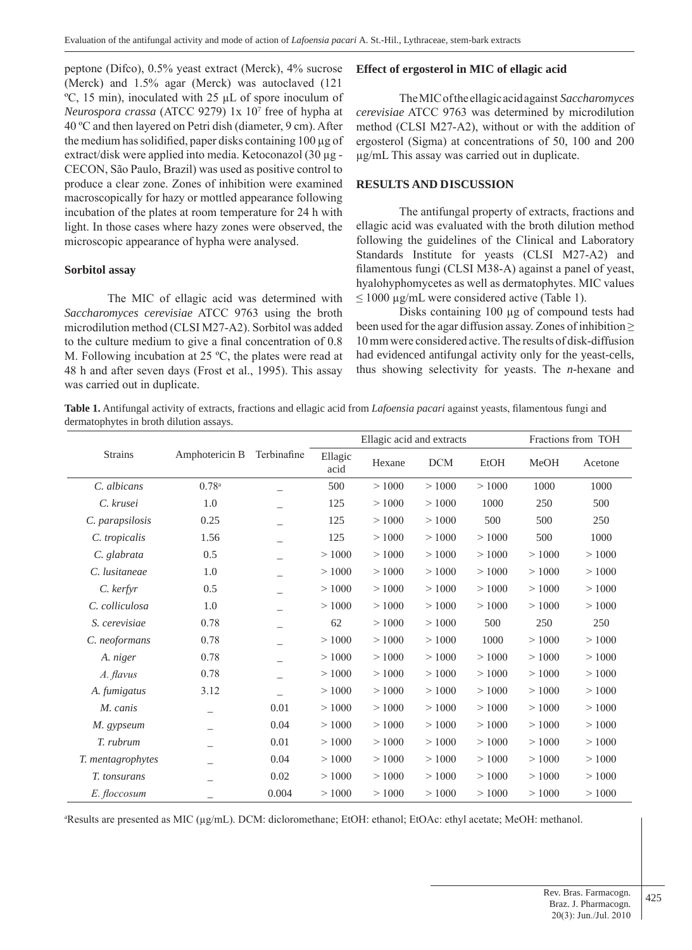peptone (Difco), 0.5% yeast extract (Merck), 4% sucrose (Merck) and 1.5% agar (Merck) was autoclaved (121 ºC, 15 min), inoculated with 25 µL of spore inoculum of *Neurospora crassa* (ATCC 9279) 1x 10<sup>7</sup> free of hypha at 40 ºC and then layered on Petri dish (diameter, 9 cm). After the medium has solidified, paper disks containing 100 µg of extract/disk were applied into media. Ketoconazol (30 µg -CECON, São Paulo, Brazil) was used as positive control to produce a clear zone. Zones of inhibition were examined macroscopically for hazy or mottled appearance following incubation of the plates at room temperature for 24 h with light. In those cases where hazy zones were observed, the microscopic appearance of hypha were analysed.

## **Sorbitol assay**

The MIC of ellagic acid was determined with *Saccharomyces cerevisiae* ATCC 9763 using the broth microdilution method (CLSI M27-A2). Sorbitol was added to the culture medium to give a final concentration of 0.8 M. Following incubation at 25 ºC, the plates were read at 48 h and after seven days (Frost et al., 1995). This assay was carried out in duplicate.

## **Effect of ergosterol in MIC of ellagic acid**

The MIC of the ellagic acid against *Saccharomyces cerevisiae* ATCC 9763 was determined by microdilution method (CLSI M27-A2), without or with the addition of ergosterol (Sigma) at concentrations of 50, 100 and 200 µg/mL This assay was carried out in duplicate.

#### **RESULTS AND DISCUSSION**

 The antifungal property of extracts, fractions and ellagic acid was evaluated with the broth dilution method following the guidelines of the Clinical and Laboratory Standards Institute for yeasts (CLSI M27-A2) and filamentous fungi (CLSI M38-A) against a panel of yeast, hyalohyphomycetes as well as dermatophytes. MIC values  $\leq 1000$  µg/mL were considered active (Table 1).

 Disks containing 100 µg of compound tests had been used for the agar diffusion assay. Zones of inhibition  $\geq$ 10 mm were considered active. The results of disk-diffusion had evidenced antifungal activity only for the yeast-cells, thus showing selectivity for yeasts. The *n*-hexane and

**Table 1.** Antifungal activity of extracts, fractions and ellagic acid from *Lafoensia pacari* against yeasts, filamentous fungi and dermatophytes in broth dilution assays.

|                   | Amphotericin B           | Terbinafine | Ellagic acid and extracts |        |            |       | Fractions from TOH |         |
|-------------------|--------------------------|-------------|---------------------------|--------|------------|-------|--------------------|---------|
| <b>Strains</b>    |                          |             | Ellagic<br>acid           | Hexane | <b>DCM</b> | EtOH  | MeOH               | Acetone |
| C. albicans       | $0.78$ <sup>a</sup>      |             | 500                       | >1000  | >1000      | >1000 | 1000               | 1000    |
| C. krusei         | 1.0                      |             | 125                       | >1000  | >1000      | 1000  | 250                | 500     |
| C. parapsilosis   | 0.25                     |             | 125                       | >1000  | >1000      | 500   | 500                | 250     |
| C. tropicalis     | 1.56                     |             | 125                       | >1000  | >1000      | >1000 | 500                | 1000    |
| C. glabrata       | 0.5                      |             | >1000                     | >1000  | >1000      | >1000 | >1000              | >1000   |
| C. lusitaneae     | 1.0                      |             | >1000                     | >1000  | >1000      | >1000 | >1000              | >1000   |
| C. kerfyr         | 0.5                      |             | >1000                     | >1000  | >1000      | >1000 | >1000              | >1000   |
| C. colliculosa    | 1.0                      |             | >1000                     | >1000  | >1000      | >1000 | >1000              | >1000   |
| S. cerevisiae     | 0.78                     |             | 62                        | >1000  | >1000      | 500   | 250                | 250     |
| C. neoformans     | 0.78                     |             | >1000                     | >1000  | >1000      | 1000  | >1000              | >1000   |
| A. niger          | 0.78                     |             | >1000                     | >1000  | >1000      | >1000 | >1000              | >1000   |
| A. flavus         | 0.78                     |             | >1000                     | >1000  | >1000      | >1000 | >1000              | >1000   |
| A. fumigatus      | 3.12                     |             | >1000                     | >1000  | >1000      | >1000 | >1000              | >1000   |
| M. canis          | $\overline{\phantom{0}}$ | 0.01        | >1000                     | >1000  | >1000      | >1000 | >1000              | >1000   |
| M. gypseum        |                          | 0.04        | >1000                     | >1000  | >1000      | >1000 | >1000              | >1000   |
| T. rubrum         |                          | 0.01        | >1000                     | >1000  | >1000      | >1000 | >1000              | >1000   |
| T. mentagrophytes |                          | 0.04        | >1000                     | >1000  | >1000      | >1000 | >1000              | >1000   |
| T. tonsurans      |                          | 0.02        | >1000                     | >1000  | >1000      | >1000 | >1000              | >1000   |
| E. floccosum      |                          | 0.004       | >1000                     | >1000  | >1000      | >1000 | >1000              | >1000   |

a Results are presented as MIC (µg/mL). DCM: dicloromethane; EtOH: ethanol; EtOAc: ethyl acetate; MeOH: methanol.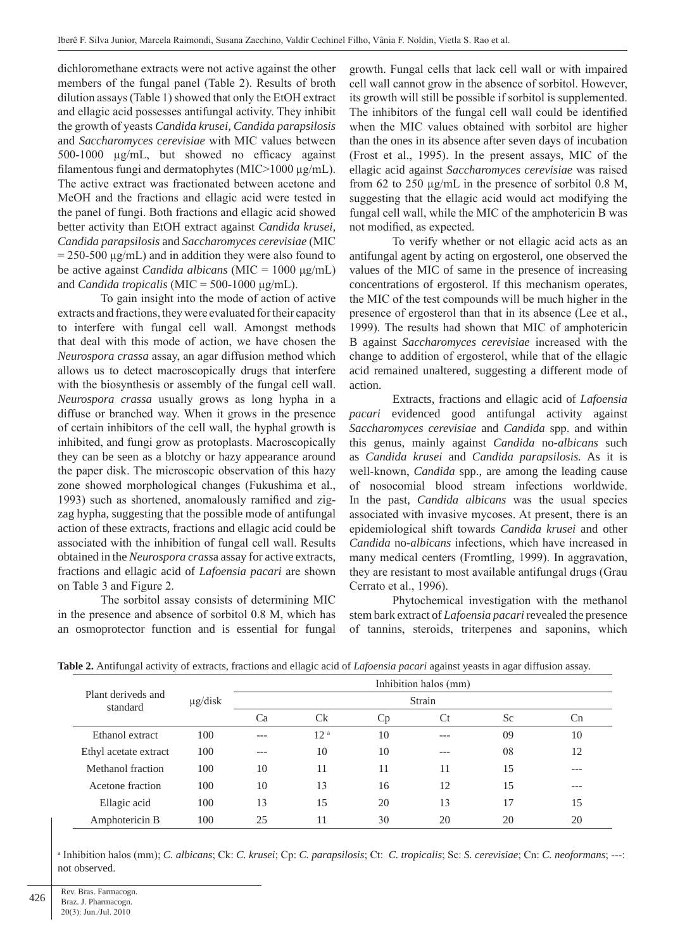dichloromethane extracts were not active against the other members of the fungal panel (Table 2). Results of broth dilution assays (Table 1) showed that only the EtOH extract and ellagic acid possesses antifungal activity. They inhibit the growth of yeasts *Candida krusei, Candida parapsilosis* and *Saccharomyces cerevisiae* with MIC values between 500-1000 µg/mL, but showed no efficacy against filamentous fungi and dermatophytes (MIC>1000 µg/mL). The active extract was fractionated between acetone and MeOH and the fractions and ellagic acid were tested in the panel of fungi. Both fractions and ellagic acid showed better activity than EtOH extract against *Candida krusei, Candida parapsilosis* and *Saccharomyces cerevisiae* (MIC  $= 250-500 \text{ µg/mL}$  and in addition they were also found to be active against *Candida albicans* (MIC = 1000 μg/mL) and *Candida tropicalis* (MIC = 500-1000 μg/mL).

 To gain insight into the mode of action of active extracts and fractions, they were evaluated for their capacity to interfere with fungal cell wall. Amongst methods that deal with this mode of action, we have chosen the *Neurospora crassa* assay, an agar diffusion method which allows us to detect macroscopically drugs that interfere with the biosynthesis or assembly of the fungal cell wall. *Neurospora crassa* usually grows as long hypha in a diffuse or branched way. When it grows in the presence of certain inhibitors of the cell wall, the hyphal growth is inhibited, and fungi grow as protoplasts. Macroscopically they can be seen as a blotchy or hazy appearance around the paper disk. The microscopic observation of this hazy zone showed morphological changes (Fukushima et al., 1993) such as shortened, anomalously ramified and zigzag hypha, suggesting that the possible mode of antifungal action of these extracts, fractions and ellagic acid could be associated with the inhibition of fungal cell wall. Results obtained in the *Neurospora crass*a assay for active extracts, fractions and ellagic acid of *Lafoensia pacari* are shown on Table 3 and Figure 2.

 The sorbitol assay consists of determining MIC in the presence and absence of sorbitol 0.8 M, which has an osmoprotector function and is essential for fungal growth. Fungal cells that lack cell wall or with impaired cell wall cannot grow in the absence of sorbitol. However, its growth will still be possible if sorbitol is supplemented. The inhibitors of the fungal cell wall could be identified when the MIC values obtained with sorbitol are higher than the ones in its absence after seven days of incubation (Frost et al., 1995). In the present assays, MIC of the ellagic acid against *Saccharomyces cerevisiae* was raised from 62 to 250 µg/mL in the presence of sorbitol 0.8 M, suggesting that the ellagic acid would act modifying the fungal cell wall, while the MIC of the amphotericin B was not modified, as expected.

 To verify whether or not ellagic acid acts as an antifungal agent by acting on ergosterol, one observed the values of the MIC of same in the presence of increasing concentrations of ergosterol. If this mechanism operates, the MIC of the test compounds will be much higher in the presence of ergosterol than that in its absence (Lee et al., 1999). The results had shown that MIC of amphotericin B against *Saccharomyces cerevisiae* increased with the change to addition of ergosterol, while that of the ellagic acid remained unaltered, suggesting a different mode of action.

Extracts, fractions and ellagic acid of *Lafoensia pacari* evidenced good antifungal activity against *Saccharomyces cerevisiae* and *Candida* spp. and within this genus, mainly against *Candida* no-*albicans* such as *Candida krusei* and *Candida parapsilosis.* As it is well-known, *Candida* spp., are among the leading cause of nosocomial blood stream infections worldwide. In the past, *Candida albicans* was the usual species associated with invasive mycoses. At present, there is an epidemiological shift towards *Candida krusei* and other *Candida* no-*albicans* infections, which have increased in many medical centers (Fromtling, 1999). In aggravation, they are resistant to most available antifungal drugs (Grau Cerrato et al., 1996).

 Phytochemical investigation with the methanol stem bark extract of *Lafoensia pacari* revealed the presence of tannins, steroids, triterpenes and saponins, which

|                                | $\mu$ g/disk | Inhibition halos (mm)<br>Strain |                 |    |     |     |     |  |
|--------------------------------|--------------|---------------------------------|-----------------|----|-----|-----|-----|--|
| Plant deriveds and<br>standard |              |                                 |                 |    |     |     |     |  |
|                                |              | Ca                              | C <sub>k</sub>  | Ċр | Ct  | Sc. | Сn  |  |
| Ethanol extract                | 100          | $- - -$                         | 12 <sup>a</sup> | 10 |     | 09  | 10  |  |
| Ethyl acetate extract          | 100          | $---$                           | 10              | 10 | --- | 08  | 12  |  |
| Methanol fraction              | 100          | 10                              | 11              | 11 | 11  | 15  | --- |  |
| Acetone fraction               | 100          | 10                              | 13              | 16 | 12  | 15  | --- |  |
| Ellagic acid                   | 100          | 13                              | 15              | 20 | 13  | 17  | 15  |  |
| Amphotericin B                 | 100          | 25                              | 11              | 30 | 20  | 20  | 20  |  |

**Table 2.** Antifungal activity of extracts, fractions and ellagic acid of *Lafoensia pacari* against yeasts in agar diffusion assay.

a Inhibition halos (mm); *C. albicans*; Ck: *C. krusei*; Cp: *C. parapsilosis*; Ct: *C. tropicalis*; Sc: *S. cerevisiae*; Cn: *C. neoformans*; ---: not observed.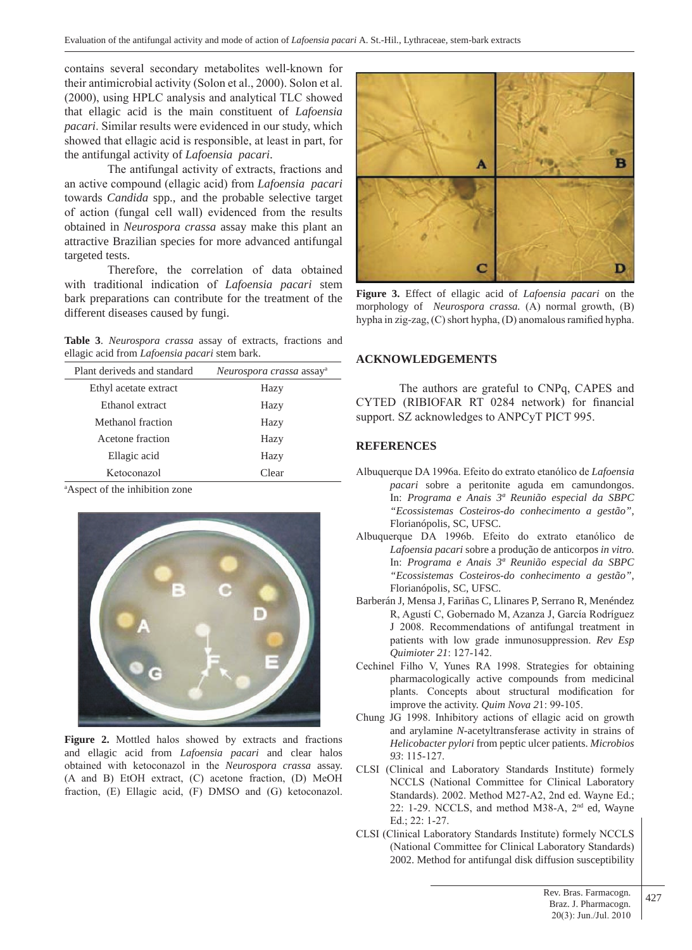contains several secondary metabolites well-known for their antimicrobial activity (Solon et al., 2000). Solon et al. (2000), using HPLC analysis and analytical TLC showed that ellagic acid is the main constituent of *Lafoensia pacari*. Similar results were evidenced in our study, which showed that ellagic acid is responsible, at least in part, for the antifungal activity of *Lafoensia pacari*.

 The antifungal activity of extracts, fractions and an active compound (ellagic acid) from *Lafoensia pacari*  towards *Candida* spp., and the probable selective target of action (fungal cell wall) evidenced from the results obtained in *Neurospora crassa* assay make this plant an attractive Brazilian species for more advanced antifungal targeted tests.

 Therefore, the correlation of data obtained with traditional indication of *Lafoensia pacari* stem bark preparations can contribute for the treatment of the different diseases caused by fungi.

**Table 3**. *Neurospora crassa* assay of extracts, fractions and ellagic acid from *Lafoensia pacari* stem bark.

| Plant deriveds and standard | Neurospora crassa assay <sup>a</sup> |  |  |  |  |
|-----------------------------|--------------------------------------|--|--|--|--|
| Ethyl acetate extract       | Hazy                                 |  |  |  |  |
| Ethanol extract             | Hazy                                 |  |  |  |  |
| Methanol fraction           | Hazy                                 |  |  |  |  |
| Acetone fraction            | Hazy                                 |  |  |  |  |
| Ellagic acid                | Hazy                                 |  |  |  |  |
| Ketoconazol                 | Clear                                |  |  |  |  |
|                             |                                      |  |  |  |  |

a Aspect of the inhibition zone



**Figure 2.** Mottled halos showed by extracts and fractions and ellagic acid from *Lafoensia pacari* and clear halos obtained with ketoconazol in the *Neurospora crassa* assay. (A and B) EtOH extract, (C) acetone fraction, (D) MeOH fraction, (E) Ellagic acid, (F) DMSO and (G) ketoconazol.



**Figure 3.** Effect of ellagic acid of *Lafoensia pacari* on the morphology of *Neurospora crassa.* (A) normal growth, (B) hypha in zig-zag, (C) short hypha, (D) anomalous ramified hypha.

## **ACKNOWLEDGEMENTS**

 The authors are grateful to CNPq, CAPES and CYTED (RIBIOFAR RT 0284 network) for financial support. SZ acknowledges to ANPCyT PICT 995.

#### **REFERENCES**

- Albuquerque DA 1996a. Efeito do extrato etanólico de *Lafoensia pacari* sobre a peritonite aguda em camundongos. In: *Programa e Anais 3ª Reunião especial da SBPC "Ecossistemas Costeiros-do conhecimento a gestão"*, Florianópolis, SC, UFSC.
- Albuquerque DA 1996b. Efeito do extrato etanólico de *Lafoensia pacari* sobre a produção de anticorpos *in vitro.*  In: *Programa e Anais 3ª Reunião especial da SBPC "Ecossistemas Costeiros-do conhecimento a gestão"*, Florianópolis, SC, UFSC.
- Barberán J, Mensa J, Fariñas C, Llinares P, Serrano R, Menéndez R, Agustí C, Gobernado M, Azanza J, García Rodríguez J 2008. Recommendations of antifungal treatment in patients with low grade inmunosuppression. *Rev Esp Quimioter 21*: 127-142.
- Cechinel Filho V, Yunes RA 1998. Strategies for obtaining pharmacologically active compounds from medicinal plants. Concepts about structural modification for improve the activity. *Quim Nova 2*1: 99-105.
- Chung JG 1998. Inhibitory actions of ellagic acid on growth and arylamine *N-*acetyltransferase activity in strains of *Helicobacter pylori* from peptic ulcer patients. *Microbios 93*: 115-127.
- CLSI (Clinical and Laboratory Standards Institute) formely NCCLS (National Committee for Clinical Laboratory Standards). 2002. Method M27-A2, 2nd ed. Wayne Ed.; 22: 1-29. NCCLS, and method M38-A, 2nd ed, Wayne Ed.; 22: 1-27.
- CLSI (Clinical Laboratory Standards Institute) formely NCCLS (National Committee for Clinical Laboratory Standards) 2002. Method for antifungal disk diffusion susceptibility